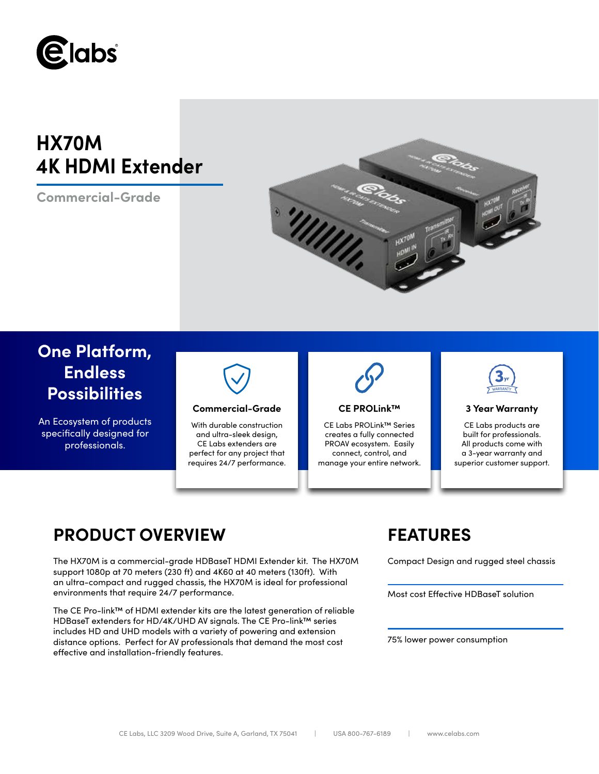

# **HX70M 4K HDMI Extender**

**Commercial-Grade**



## **One Platform, Endless Possibilities**

An Ecosystem of products specifically designed for professionals.



### **Commercial-Grade 3 Year Warranty**

With durable construction and ultra-sleek design, CE Labs extenders are perfect for any project that requires 24/7 performance.



### **CE PROLink™**

CE Labs PROLink™ Series creates a fully connected PROAV ecosystem. Easily connect, control, and manage your entire network.



CE Labs products are built for professionals. All products come with a 3-year warranty and superior customer support.

## **PRODUCT OVERVIEW FEATURES**

The HX70M is a commercial-grade HDBaseT HDMI Extender kit. The HX70M support 1080p at 70 meters (230 ft) and 4K60 at 40 meters (130ft). With an ultra-compact and rugged chassis, the HX70M is ideal for professional environments that require 24/7 performance.

The CE Pro-link™ of HDMI extender kits are the latest generation of reliable HDBaseT extenders for HD/4K/UHD AV signals. The CE Pro-link™ series includes HD and UHD models with a variety of powering and extension distance options. Perfect for AV professionals that demand the most cost effective and installation-friendly features.

Compact Design and rugged steel chassis

Most cost Effective HDBaseT solution

75% lower power consumption